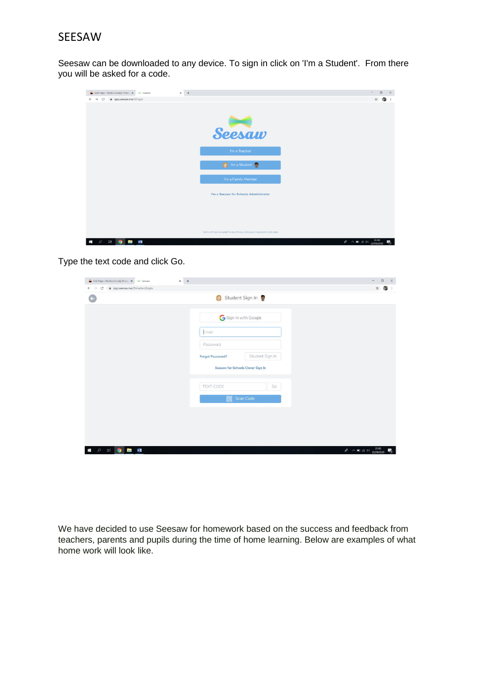## SEESAW

Seesaw can be downloaded to any device. To sign in click on 'I'm a Student'. From there you will be asked for a code.

| Edit Page - Hollins Grundy Primar X<br>$+$<br>$\times$<br><b>DH</b> Seesaw    |                                                                   | $\Box$<br>$\times$<br>$\sim$       |
|-------------------------------------------------------------------------------|-------------------------------------------------------------------|------------------------------------|
| app.seesaw.me/#/login<br>$\leftarrow$ $\rightarrow$ C                         |                                                                   | ☆                                  |
|                                                                               |                                                                   |                                    |
|                                                                               |                                                                   |                                    |
|                                                                               | Seesaw                                                            |                                    |
|                                                                               | I'm a Teacher                                                     |                                    |
|                                                                               | Time Student                                                      |                                    |
|                                                                               | I'm a Family Member                                               |                                    |
|                                                                               | I'm a Seesaw for Schools Administrator                            |                                    |
|                                                                               |                                                                   |                                    |
|                                                                               |                                                                   |                                    |
|                                                                               | Terms of Service and Privacy Policy   Browse Classroom Activities |                                    |
| w∃<br>$\overline{\Xi}$<br>$\mathfrak{a}$<br>Ŧ<br>$\bullet$<br><b>Security</b> |                                                                   | $R^2 \sim 10$ ( $10^{20.00}$<br>P. |

Type the text code and click Go.

| C' à app.seesaw.me/#/student/login<br>$\leftarrow$ $\rightarrow$ | $x +$                                      | $\mathbf{x}$<br>œ                                    |
|------------------------------------------------------------------|--------------------------------------------|------------------------------------------------------|
|                                                                  | Student Sign In                            |                                                      |
|                                                                  | Sign In with Google                        |                                                      |
|                                                                  | Email                                      |                                                      |
|                                                                  | Password                                   |                                                      |
|                                                                  | Student Sign In<br><b>Forgot Password?</b> |                                                      |
|                                                                  | Seesaw for Schools Clever Sign In          |                                                      |
|                                                                  | TEXT CODE<br>Go                            |                                                      |
|                                                                  | Scan Code                                  |                                                      |
|                                                                  |                                            |                                                      |
|                                                                  |                                            |                                                      |
|                                                                  |                                            |                                                      |
| <b>Ei</b> O<br><b>But will</b><br>$\alpha$                       |                                            | $R^2 \sim 10 \approx 0.01$ $(10, 2000)$ $(10, 2000)$ |

We have decided to use Seesaw for homework based on the success and feedback from teachers, parents and pupils during the time of home learning. Below are examples of what home work will look like.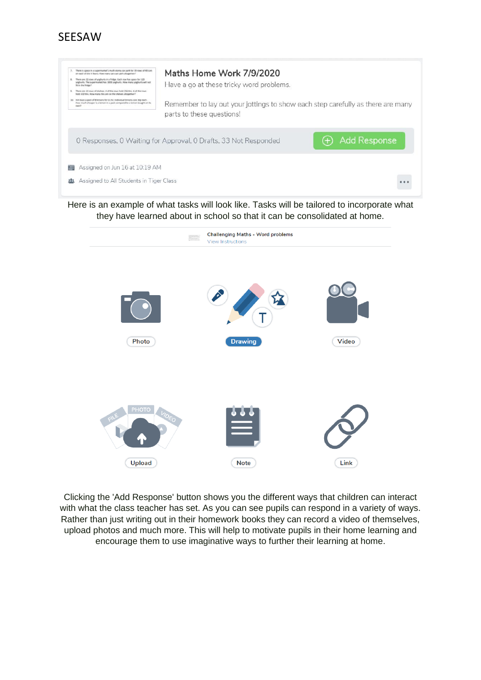



Here is an example of what tasks will look like. Tasks will be tailored to incorporate what they have learned about in school so that it can be consolidated at home.



Clicking the 'Add Response' button shows you the different ways that children can interact with what the class teacher has set. As you can see pupils can respond in a variety of ways. Rather than just writing out in their homework books they can record a video of themselves, upload photos and much more. This will help to motivate pupils in their home learning and encourage them to use imaginative ways to further their learning at home.